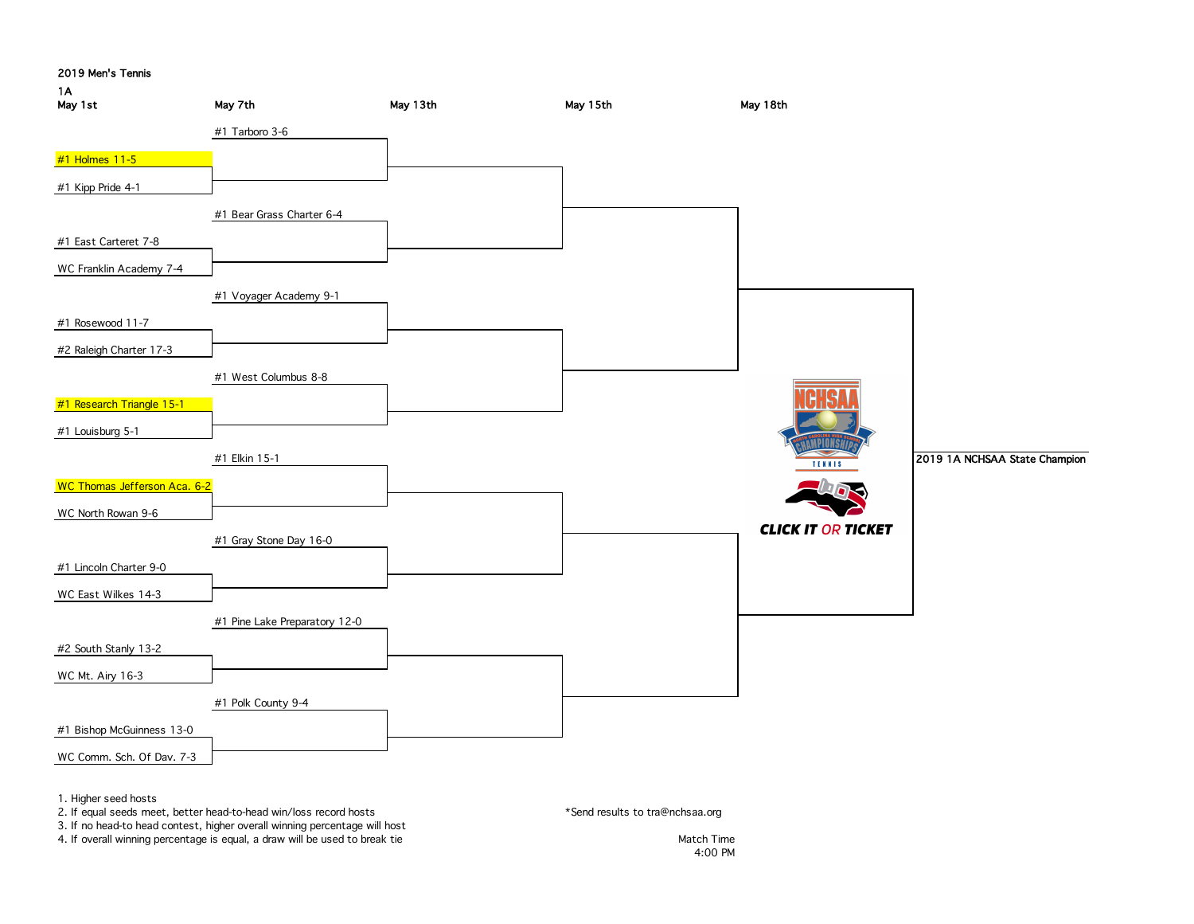



4. If overall winning percentage is equal, a draw will be used to break tie Match Time Match Time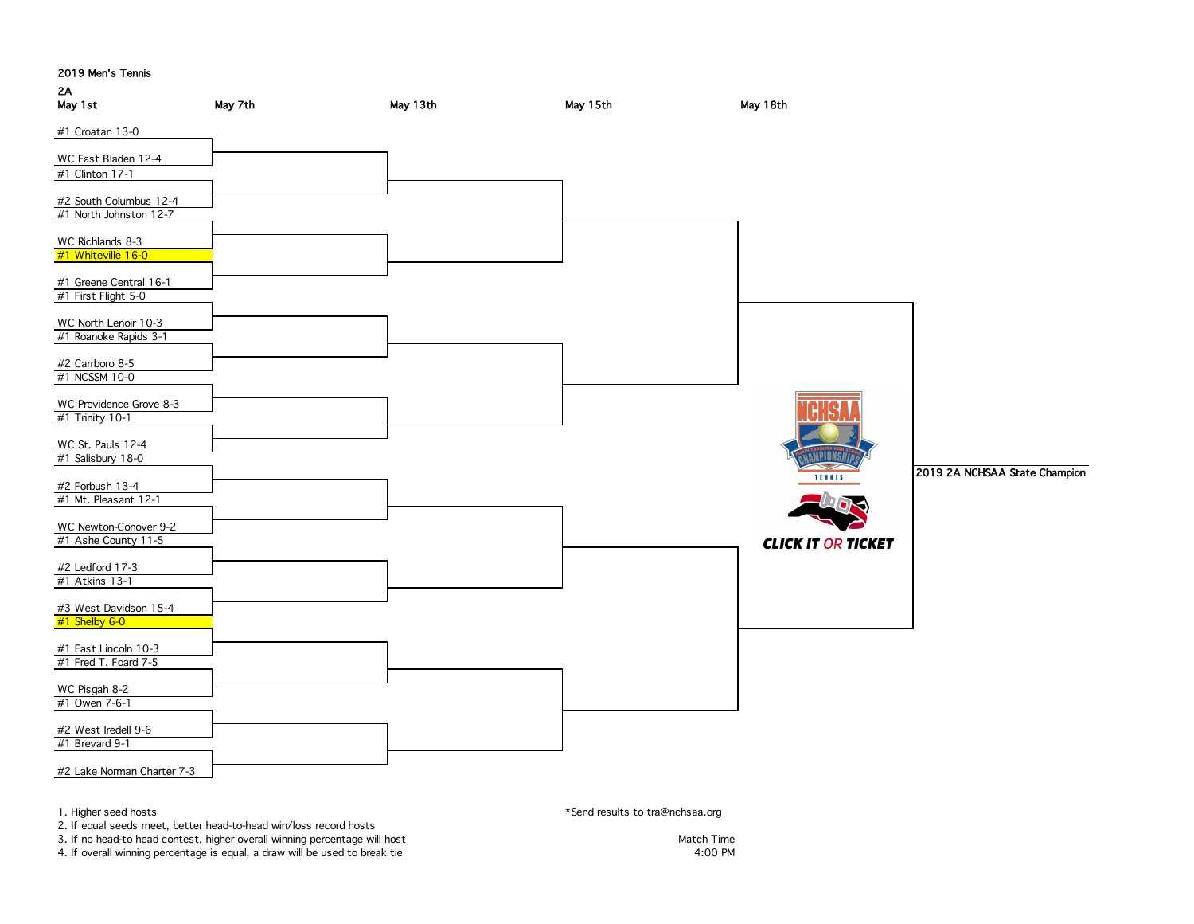# 2A

| $\mathbf{r}$<br>May 1st                          | May 7th                                                           | May 13th | May 15th                        | May 18th                  |                               |
|--------------------------------------------------|-------------------------------------------------------------------|----------|---------------------------------|---------------------------|-------------------------------|
| #1 Croatan 13-0                                  |                                                                   |          |                                 |                           |                               |
| WC East Bladen 12-4                              |                                                                   |          |                                 |                           |                               |
| #1 Clinton 17-1                                  |                                                                   |          |                                 |                           |                               |
|                                                  |                                                                   |          |                                 |                           |                               |
| #2 South Columbus 12-4<br>#1 North Johnston 12-7 |                                                                   |          |                                 |                           |                               |
|                                                  |                                                                   |          |                                 |                           |                               |
| WC Richlands 8-3                                 |                                                                   |          |                                 |                           |                               |
| #1 Whiteville 16-0                               |                                                                   |          |                                 |                           |                               |
| #1 Greene Central 16-1                           |                                                                   |          |                                 |                           |                               |
| #1 First Flight 5-0                              |                                                                   |          |                                 |                           |                               |
|                                                  |                                                                   |          |                                 |                           |                               |
| WC North Lenoir 10-3<br>#1 Roanoke Rapids 3-1    |                                                                   |          |                                 |                           |                               |
|                                                  |                                                                   |          |                                 |                           |                               |
| #2 Carrboro 8-5                                  |                                                                   |          |                                 |                           |                               |
| #1 NCSSM 10-0                                    |                                                                   |          |                                 |                           |                               |
| WC Providence Grove 8-3                          |                                                                   |          |                                 |                           |                               |
| #1 Trinity 10-1                                  |                                                                   |          |                                 |                           |                               |
| WC St. Pauls 12-4                                |                                                                   |          |                                 |                           |                               |
| #1 Salisbury 18-0                                |                                                                   |          |                                 | <b>AMPIONSH</b>           |                               |
|                                                  |                                                                   |          |                                 | $\Rightarrow$<br>TENNIS   | 2019 2A NCHSAA State Champion |
| #2 Forbush 13-4<br>#1 Mt. Pleasant 12-1          |                                                                   |          |                                 |                           |                               |
|                                                  |                                                                   |          |                                 |                           |                               |
| WC Newton-Conover 9-2                            |                                                                   |          |                                 |                           |                               |
| #1 Ashe County 11-5                              |                                                                   |          |                                 | <b>CLICK IT OR TICKET</b> |                               |
| #2 Ledford 17-3                                  |                                                                   |          |                                 |                           |                               |
| #1 Atkins 13-1                                   |                                                                   |          |                                 |                           |                               |
| #3 West Davidson 15-4                            |                                                                   |          |                                 |                           |                               |
| #1 Shelby 6-0                                    |                                                                   |          |                                 |                           |                               |
|                                                  |                                                                   |          |                                 |                           |                               |
| #1 East Lincoln 10-3<br>#1 Fred T. Foard 7-5     |                                                                   |          |                                 |                           |                               |
|                                                  |                                                                   |          |                                 |                           |                               |
| WC Pisgah 8-2                                    |                                                                   |          |                                 |                           |                               |
| #1 Owen 7-6-1                                    |                                                                   |          |                                 |                           |                               |
| #2 West Iredell 9-6                              |                                                                   |          |                                 |                           |                               |
| #1 Brevard 9-1                                   |                                                                   |          |                                 |                           |                               |
| #2 Lake Norman Charter 7-3                       |                                                                   |          |                                 |                           |                               |
|                                                  |                                                                   |          |                                 |                           |                               |
|                                                  |                                                                   |          |                                 |                           |                               |
| 1. Higher seed hosts                             | 2. If equal seeds meet, better head-to-head win/loss record hosts |          | *Send results to tra@nchsaa.org |                           |                               |

3. If no head-to head contest, higher overall winning percentage will host Match Time Match Time Match Time

4. If overall winning percentage is equal, a draw will be used to break tie 4:00 PM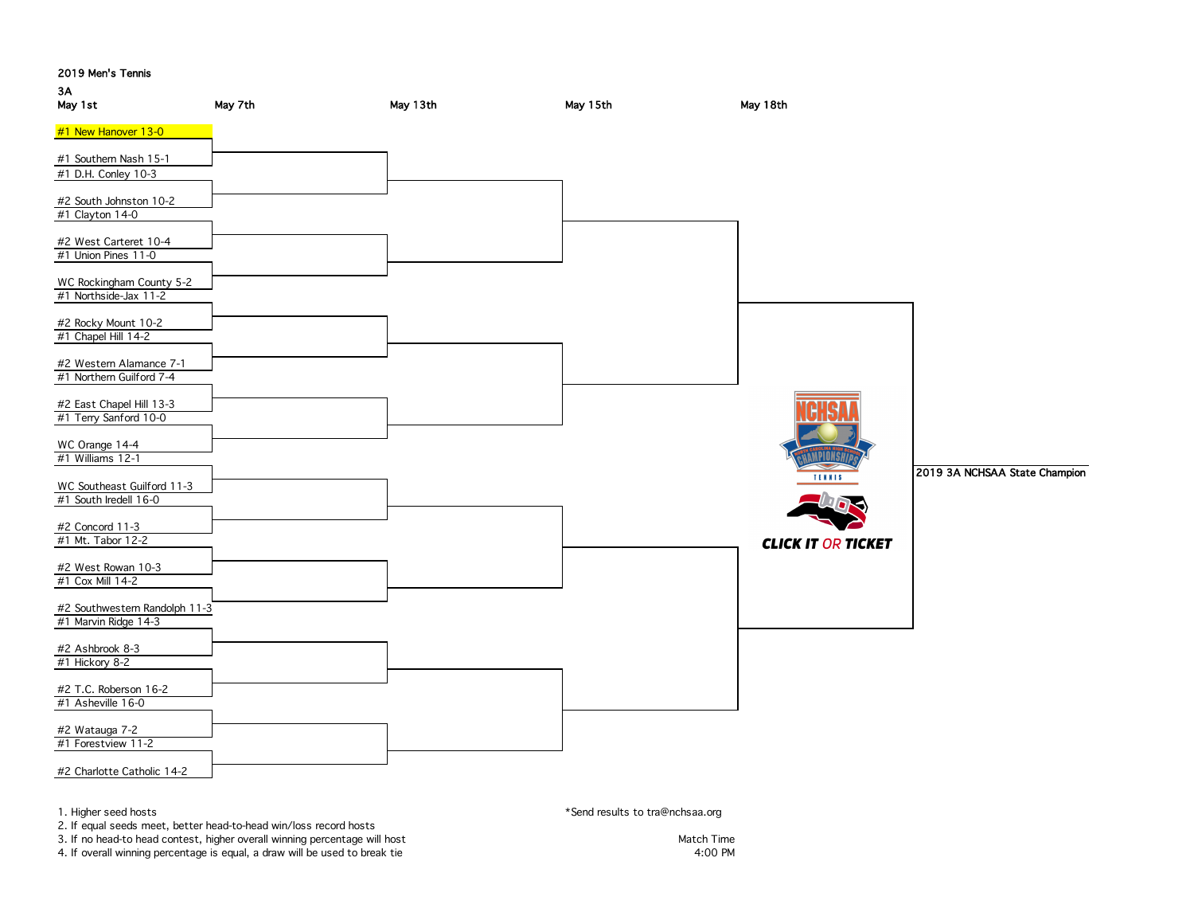

4. If overall winning percentage is equal, a draw will be used to break tie 4:00 PM